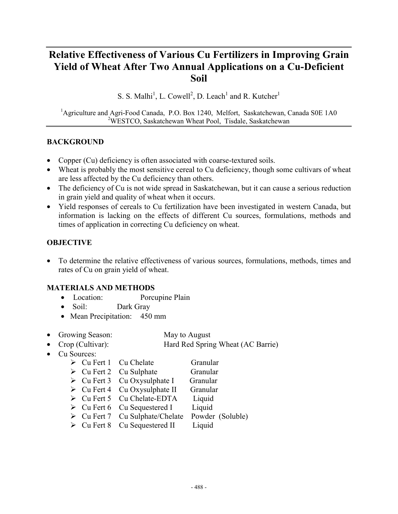# **Relative Effectiveness of Various Cu Fertilizers in Improving Grain Yield of Wheat After Two Annual Applications on a Cu-Deficient Soil**

S. S. Malhi<sup>1</sup>, L. Cowell<sup>2</sup>, D. Leach<sup>1</sup> and R. Kutcher<sup>1</sup>

<sup>1</sup>Agriculture and Agri-Food Canada, P.O. Box 1240, Melfort, Saskatchewan, Canada S0E 1A0 <sup>2</sup>WESTCO, Saskatchewan Wheat Pool, Tisdale, Saskatchewan

#### **BACKGROUND**

- Copper (Cu) deficiency is often associated with coarse-textured soils.
- Wheat is probably the most sensitive cereal to Cu deficiency, though some cultivars of wheat are less affected by the Cu deficiency than others.
- The deficiency of Cu is not wide spread in Saskatchewan, but it can cause a serious reduction in grain yield and quality of wheat when it occurs.
- Yield responses of cereals to Cu fertilization have been investigated in western Canada, but information is lacking on the effects of different Cu sources, formulations, methods and times of application in correcting Cu deficiency on wheat.

#### **OBJECTIVE**

• To determine the relative effectiveness of various sources, formulations, methods, times and rates of Cu on grain yield of wheat.

#### **MATERIALS AND METHODS**

- Location: Porcupine Plain
- Soil: Dark Gray
- Mean Precipitation: 450 mm
- Growing Season: May to August
- Crop (Cultivar): Hard Red Spring Wheat (AC Barrie)
- Cu Sources:
	- $\triangleright$  Cu Fert 1 Cu Chelate Granular > Cu Fert 2 Cu Sulphate Granular
	- $\triangleright$  Cu Fert 3 Cu Oxysulphate I Granular
	- $\triangleright$  Cu Fert 4 Cu Oxysulphate II Granular
	- $\triangleright$  Cu Fert 5 Cu Chelate-EDTA Liquid
	- $\triangleright$  Cu Fert 6 Cu Sequestered I Liquid
	- > Cu Fert 7 Cu Sulphate/Chelate Powder (Soluble)
	-
	- > Cu Fert 8 Cu Sequestered II Liquid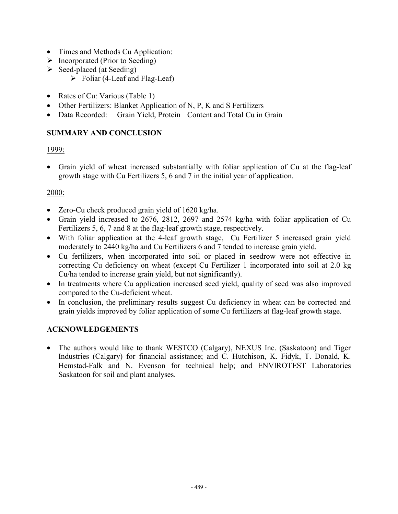- Times and Methods Cu Application:
- $\triangleright$  Incorporated (Prior to Seeding)
- $\triangleright$  Seed-placed (at Seeding)
	- $\triangleright$  Foliar (4-Leaf and Flag-Leaf)
- Rates of Cu: Various (Table 1)
- Other Fertilizers: Blanket Application of N, P, K and S Fertilizers
- Data Recorded: Grain Yield, Protein Content and Total Cu in Grain

## **SUMMARY AND CONCLUSION**

## 1999:

• Grain yield of wheat increased substantially with foliar application of Cu at the flag-leaf growth stage with Cu Fertilizers 5, 6 and 7 in the initial year of application.

## 2000:

- Zero-Cu check produced grain yield of 1620 kg/ha.
- Grain yield increased to 2676, 2812, 2697 and 2574 kg/ha with foliar application of Cu Fertilizers 5, 6, 7 and 8 at the flag-leaf growth stage, respectively.
- With foliar application at the 4-leaf growth stage, Cu Fertilizer 5 increased grain yield moderately to 2440 kg/ha and Cu Fertilizers 6 and 7 tended to increase grain yield.
- Cu fertilizers, when incorporated into soil or placed in seedrow were not effective in correcting Cu deficiency on wheat (except Cu Fertilizer 1 incorporated into soil at 2.0 kg Cu/ha tended to increase grain yield, but not significantly).
- In treatments where Cu application increased seed vield, quality of seed was also improved compared to the Cu-deficient wheat.
- In conclusion, the preliminary results suggest Cu deficiency in wheat can be corrected and grain yields improved by foliar application of some Cu fertilizers at flag-leaf growth stage.

## **ACKNOWLEDGEMENTS**

• The authors would like to thank WESTCO (Calgary), NEXUS Inc. (Saskatoon) and Tiger Industries (Calgary) for financial assistance; and C. Hutchison, K. Fidyk, T. Donald, K. Hemstad-Falk and N. Evenson for technical help; and ENVIROTEST Laboratories Saskatoon for soil and plant analyses.